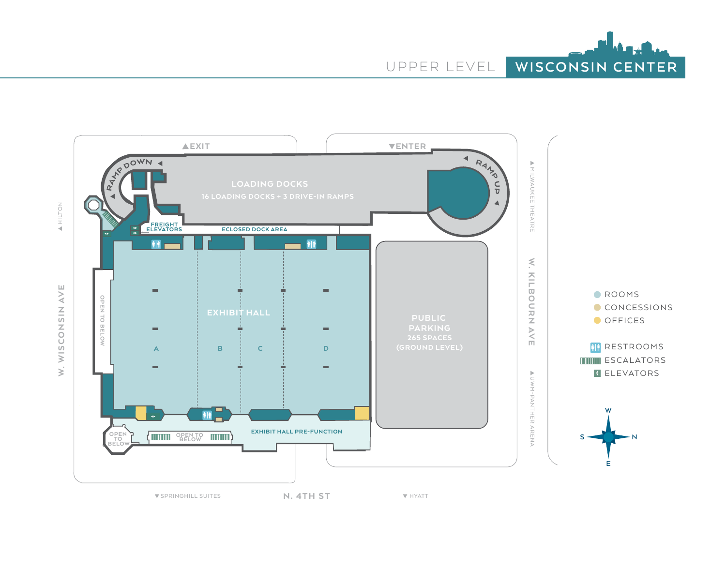